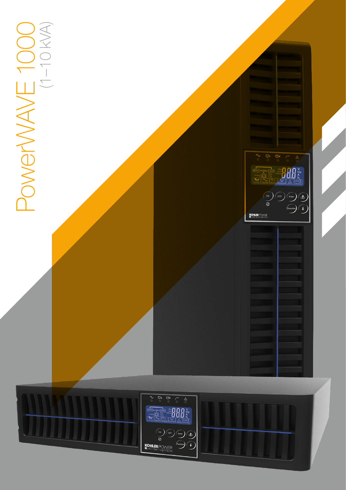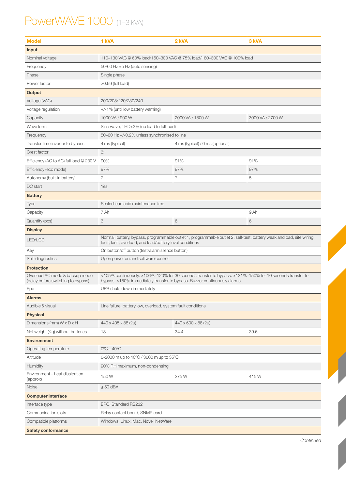## PowerWAVE 1000 (1–3 kVA)

| <b>Model</b>                                                         | 1 kVA                                                                                                                                                                               | 2 kVA                                                                                                               | 3 kVA            |  |
|----------------------------------------------------------------------|-------------------------------------------------------------------------------------------------------------------------------------------------------------------------------------|---------------------------------------------------------------------------------------------------------------------|------------------|--|
| Input                                                                |                                                                                                                                                                                     |                                                                                                                     |                  |  |
| Nominal voltage                                                      | 110-130 VAC @ 60% load/150-300 VAC @ 75% load/180-300 VAC @ 100% load                                                                                                               |                                                                                                                     |                  |  |
| Frequency                                                            | 50/60 Hz $\pm$ 5 Hz (auto sensing)                                                                                                                                                  |                                                                                                                     |                  |  |
| Phase                                                                | Single phase                                                                                                                                                                        |                                                                                                                     |                  |  |
| Power factor                                                         | $\geq$ 0.99 (full load)                                                                                                                                                             |                                                                                                                     |                  |  |
| Output                                                               |                                                                                                                                                                                     |                                                                                                                     |                  |  |
| Voltage (VAC)                                                        | 200/208/220/230/240                                                                                                                                                                 |                                                                                                                     |                  |  |
| Voltage regulation                                                   | +/-1% (until low battery warning)                                                                                                                                                   |                                                                                                                     |                  |  |
| Capacity                                                             | 1000 VA / 900 W                                                                                                                                                                     | 2000 VA / 1800 W                                                                                                    | 3000 VA / 2700 W |  |
| Wave form                                                            | Sine wave, THD<3% (no load to full load)                                                                                                                                            |                                                                                                                     |                  |  |
| Frequency                                                            | 50-60 Hz +/-0.2% unless synchronised to line                                                                                                                                        |                                                                                                                     |                  |  |
| Transfer time inverter to bypass                                     | 4 ms (typical)                                                                                                                                                                      | 4 ms (typical) / 0 ms (optional)                                                                                    |                  |  |
| Crest factor                                                         | 3:1                                                                                                                                                                                 |                                                                                                                     |                  |  |
| Efficiency (AC to AC) full load @ 230 V                              | 90%                                                                                                                                                                                 | 91%                                                                                                                 | 91%              |  |
| Efficiency (eco mode)                                                | 97%                                                                                                                                                                                 | 97%                                                                                                                 | 97%              |  |
| Autonomy (built-in battery)                                          | $\overline{7}$                                                                                                                                                                      | 7                                                                                                                   | 5                |  |
| DC start                                                             | Yes                                                                                                                                                                                 |                                                                                                                     |                  |  |
| <b>Battery</b>                                                       |                                                                                                                                                                                     |                                                                                                                     |                  |  |
| <b>Type</b>                                                          | Sealed lead acid maintenance free                                                                                                                                                   |                                                                                                                     |                  |  |
| Capacity                                                             | 7 Ah                                                                                                                                                                                |                                                                                                                     | 9 Ah             |  |
| Quantity (pcs)                                                       | 3                                                                                                                                                                                   | 6                                                                                                                   | 6                |  |
| <b>Display</b>                                                       |                                                                                                                                                                                     |                                                                                                                     |                  |  |
| LED/LCD                                                              | fault, fault, overload, and load/battery level conditions                                                                                                                           | Normal, battery, bypass, programmable outlet 1, programmable outlet 2, self-test, battery weak and bad, site wiring |                  |  |
| Key                                                                  | On button/off button (test/alarm silence button)                                                                                                                                    |                                                                                                                     |                  |  |
| Self-diagnostics                                                     | Upon power on and software control                                                                                                                                                  |                                                                                                                     |                  |  |
| <b>Protection</b>                                                    |                                                                                                                                                                                     |                                                                                                                     |                  |  |
| Overload AC mode & backup mode<br>(delay before switching to bypass) | <105% continuously. >106%-120% for 30 seconds transfer to bypass. >121%-150% for 10 seconds transfer to<br>bypass. >150% immediately transfer to bypass. Buzzer continuously alarms |                                                                                                                     |                  |  |
| Epo                                                                  | UPS shuts down immediately                                                                                                                                                          |                                                                                                                     |                  |  |
| <b>Alarms</b>                                                        |                                                                                                                                                                                     |                                                                                                                     |                  |  |
| Audible & visual                                                     | Line failure, battery low, overload, system fault conditions                                                                                                                        |                                                                                                                     |                  |  |
| <b>Physical</b>                                                      |                                                                                                                                                                                     |                                                                                                                     |                  |  |
| Dimensions (mm) $W \times D \times H$                                | 440 x 405 x 88 (2u)                                                                                                                                                                 | 440 x 600 x 88 (2u)                                                                                                 |                  |  |
| Net weight (Kg) without batteries                                    | 18                                                                                                                                                                                  | 34.4                                                                                                                | 39.6             |  |
| <b>Environment</b>                                                   |                                                                                                                                                                                     |                                                                                                                     |                  |  |
| Operating temperature                                                | $0^{\circ}$ C – 40 $^{\circ}$ C                                                                                                                                                     |                                                                                                                     |                  |  |
| Altitude                                                             | 0-2000 m up to 40°C / 3000 m up to 35°C                                                                                                                                             |                                                                                                                     |                  |  |
| Humidity                                                             | 90% RH maximum, non-condensing                                                                                                                                                      |                                                                                                                     |                  |  |
| Environment - heat dissipation<br>(approx)                           | 150W                                                                                                                                                                                | 275W                                                                                                                | 415W             |  |
| Noise                                                                | $\leq 50$ dBA                                                                                                                                                                       |                                                                                                                     |                  |  |
| <b>Computer interface</b>                                            |                                                                                                                                                                                     |                                                                                                                     |                  |  |
| Interface type                                                       | EPO, Standard RS232                                                                                                                                                                 |                                                                                                                     |                  |  |
| Communication slots                                                  | Relay contact board, SNMP card                                                                                                                                                      |                                                                                                                     |                  |  |
| Compatible platforms                                                 | Windows, Linux, Mac, Novell NetWare                                                                                                                                                 |                                                                                                                     |                  |  |
| <b>Safety conformance</b>                                            |                                                                                                                                                                                     |                                                                                                                     |                  |  |

Continued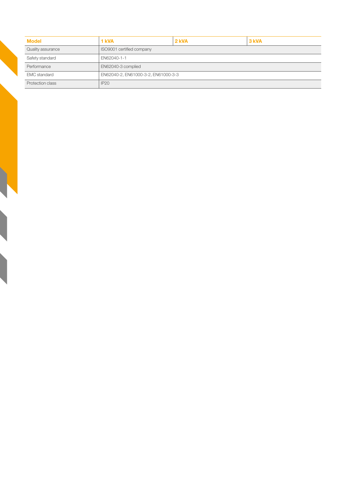| <b>Model</b>        | 1 kVA                               | 2 kVA | 3 kVA |
|---------------------|-------------------------------------|-------|-------|
| Quality assurance   | ISO9001 certified company           |       |       |
| Safety standard     | EN62040-1-1                         |       |       |
| Performance         | EN62040-3 complied                  |       |       |
| <b>EMC</b> standard | EN62040-2, EN61000-3-2, EN61000-3-3 |       |       |
| Protection class    | <b>IP20</b>                         |       |       |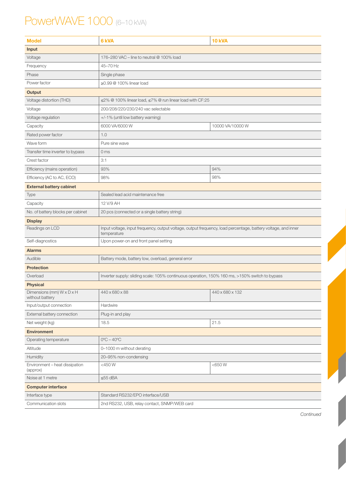## PowerWAVE 1000 (6-10 kVA)

| <b>Model</b>                                 | 6 kVA                                                                                                                        | <b>10 kVA</b>   |  |  |  |
|----------------------------------------------|------------------------------------------------------------------------------------------------------------------------------|-----------------|--|--|--|
| Input                                        |                                                                                                                              |                 |  |  |  |
| Voltage                                      | 176-280 VAC - line to neutral @ 100% load                                                                                    |                 |  |  |  |
| Frequency                                    | 45-70 Hz                                                                                                                     |                 |  |  |  |
| Phase                                        | Single phase                                                                                                                 |                 |  |  |  |
| Power factor                                 | ≥0.99 @ 100% linear load                                                                                                     |                 |  |  |  |
| Output                                       |                                                                                                                              |                 |  |  |  |
| Voltage distortion (THD)                     | $\leq$ 2% @ 100% linear load, $\leq$ 7% @ run linear load with CF:25                                                         |                 |  |  |  |
| Voltage                                      | 200/208/220/230/240 vac selectable                                                                                           |                 |  |  |  |
| Voltage regulation                           | +/-1% (until low battery warning)                                                                                            |                 |  |  |  |
| Capacity                                     | 10000 VA/10000 W<br>6000 VA/6000 W                                                                                           |                 |  |  |  |
| Rated power factor                           | 1.0                                                                                                                          |                 |  |  |  |
| Wave form                                    | Pure sine wave                                                                                                               |                 |  |  |  |
| Transfer time inverter to bypass             | 0 <sub>ms</sub>                                                                                                              |                 |  |  |  |
| Crest factor                                 | 3:1                                                                                                                          |                 |  |  |  |
| Efficiency (mains operation)                 | 93%                                                                                                                          | 94%             |  |  |  |
| Efficiency (AC to AC, ECO)                   | 98%                                                                                                                          | 98%             |  |  |  |
| <b>External battery cabinet</b>              |                                                                                                                              |                 |  |  |  |
| Type                                         | Sealed lead acid maintenance free                                                                                            |                 |  |  |  |
| Capacity                                     | 12 V/9 AH                                                                                                                    |                 |  |  |  |
| No. of battery blocks per cabinet            | 20 pcs (connected or a single battery string)                                                                                |                 |  |  |  |
| <b>Display</b>                               |                                                                                                                              |                 |  |  |  |
| Readings on LCD                              | Input voltage, input frequency, output voltage, output frequency, load percentage, battery voltage, and inner<br>temperature |                 |  |  |  |
| Self-diagnostics                             | Upon power-on and front panel setting                                                                                        |                 |  |  |  |
| <b>Alarms</b>                                |                                                                                                                              |                 |  |  |  |
| Audible                                      | Battery mode, battery low, overload, general error                                                                           |                 |  |  |  |
| <b>Protection</b>                            |                                                                                                                              |                 |  |  |  |
| Overload                                     | Inverter supply: sliding scale: 105% continuous operation, 150% 160 ms, >150% switch to bypass                               |                 |  |  |  |
| <b>Physical</b>                              |                                                                                                                              |                 |  |  |  |
| Dimensions (mm) W x D x H<br>without battery | 440 x 680 x 88                                                                                                               | 440 x 680 x 132 |  |  |  |
| Input/output connection                      | Hardwire                                                                                                                     |                 |  |  |  |
| External battery connection                  | Plug-in and play                                                                                                             |                 |  |  |  |
| Net weight (kg)                              | 18.5                                                                                                                         | 21.5            |  |  |  |
| <b>Environment</b>                           |                                                                                                                              |                 |  |  |  |
| Operating temperature                        | $0^{\circ}$ C – 40 $^{\circ}$ C                                                                                              |                 |  |  |  |
| Altitude                                     | 0-1000 m without derating                                                                                                    |                 |  |  |  |
| Humidity                                     | 20-95% non-condensing                                                                                                        |                 |  |  |  |
| Environment - heat dissipation<br>(approx)   | $<$ 450 W                                                                                                                    | <650W           |  |  |  |
| Noise at 1 metre                             | $≤55$ dBA                                                                                                                    |                 |  |  |  |
| <b>Computer interface</b>                    |                                                                                                                              |                 |  |  |  |
| Interface type                               | Standard RS232/EPO interface/USB                                                                                             |                 |  |  |  |
| Communication slots                          | 2nd RS232, USB, relay contact, SNMP/WEB card                                                                                 |                 |  |  |  |

Continued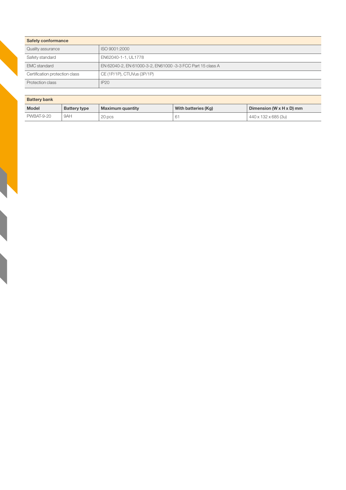| <b>Safety conformance</b>      |                                                            |  |
|--------------------------------|------------------------------------------------------------|--|
| Quality assurance              | ISO 9001:2000                                              |  |
| Safety standard                | EN62040-1-1, UL1778                                        |  |
| <b>EMC</b> standard            | EN 62040-2, EN 61000-3-2, EN61000 -3-3 FCC Part 15 class A |  |
| Certification protection class | CE (1P/1P), CTUVus (3P/1P)                                 |  |
| Protection class               | <b>IP20</b>                                                |  |

| <b>Battery bank</b> |              |                  |                     |                                        |
|---------------------|--------------|------------------|---------------------|----------------------------------------|
| <b>Model</b>        | Battery type | Maximum quantity | With batteries (Kg) | Dimension (W $\times$ H $\times$ D) mm |
| <b>PWBAT-9-20</b>   | 9AH          | 20 pcs           | 61                  | 440 x 132 x 685 (3u)                   |